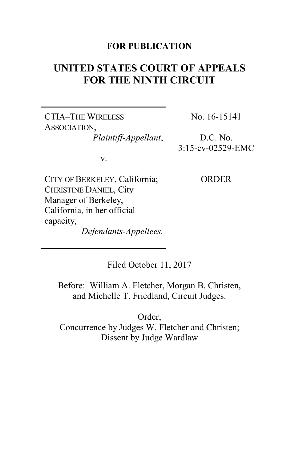### **FOR PUBLICATION**

# **UNITED STATES COURT OF APPEALS FOR THE NINTH CIRCUIT**

CTIA–THE WIRELESS ASSOCIATION, *Plaintiff-Appellant*,

v.

CITY OF BERKELEY, California; CHRISTINE DANIEL, City Manager of Berkeley, California, in her official capacity, *Defendants-Appellees.* No. 16-15141

D.C. No. 3:15-cv-02529-EMC

**ORDER** 

Filed October 11, 2017

Before: William A. Fletcher, Morgan B. Christen, and Michelle T. Friedland, Circuit Judges.

Order; Concurrence by Judges W. Fletcher and Christen; Dissent by Judge Wardlaw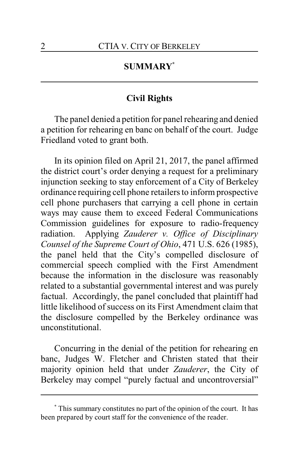## **SUMMARY\***

#### **Civil Rights**

The panel denied a petition for panel rehearing and denied a petition for rehearing en banc on behalf of the court. Judge Friedland voted to grant both.

In its opinion filed on April 21, 2017, the panel affirmed the district court's order denying a request for a preliminary injunction seeking to stay enforcement of a City of Berkeley ordinance requiring cell phone retailers to inform prospective cell phone purchasers that carrying a cell phone in certain ways may cause them to exceed Federal Communications Commission guidelines for exposure to radio-frequency radiation. Applying *Zauderer v. Office of Disciplinary Counsel of the Supreme Court of Ohio*, 471 U.S. 626 (1985), the panel held that the City's compelled disclosure of commercial speech complied with the First Amendment because the information in the disclosure was reasonably related to a substantial governmental interest and was purely factual. Accordingly, the panel concluded that plaintiff had little likelihood of success on its First Amendment claim that the disclosure compelled by the Berkeley ordinance was unconstitutional.

Concurring in the denial of the petition for rehearing en banc, Judges W. Fletcher and Christen stated that their majority opinion held that under *Zauderer*, the City of Berkeley may compel "purely factual and uncontroversial"

**<sup>\*</sup>** This summary constitutes no part of the opinion of the court. It has been prepared by court staff for the convenience of the reader.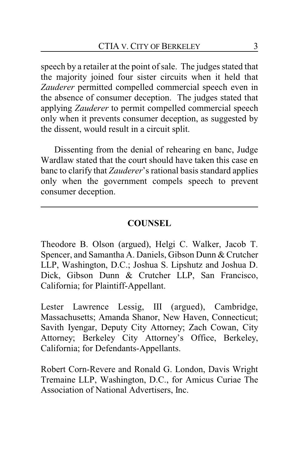speech by a retailer at the point of sale. The judges stated that the majority joined four sister circuits when it held that *Zauderer* permitted compelled commercial speech even in the absence of consumer deception. The judges stated that applying *Zauderer* to permit compelled commercial speech only when it prevents consumer deception, as suggested by the dissent, would result in a circuit split.

Dissenting from the denial of rehearing en banc, Judge Wardlaw stated that the court should have taken this case en banc to clarify that *Zauderer*'s rational basis standard applies only when the government compels speech to prevent consumer deception.

## **COUNSEL**

Theodore B. Olson (argued), Helgi C. Walker, Jacob T. Spencer, and Samantha A. Daniels, Gibson Dunn & Crutcher LLP, Washington, D.C.; Joshua S. Lipshutz and Joshua D. Dick, Gibson Dunn & Crutcher LLP, San Francisco, California; for Plaintiff-Appellant.

Lester Lawrence Lessig, III (argued), Cambridge, Massachusetts; Amanda Shanor, New Haven, Connecticut; Savith Iyengar, Deputy City Attorney; Zach Cowan, City Attorney; Berkeley City Attorney's Office, Berkeley, California; for Defendants-Appellants.

Robert Corn-Revere and Ronald G. London, Davis Wright Tremaine LLP, Washington, D.C., for Amicus Curiae The Association of National Advertisers, Inc.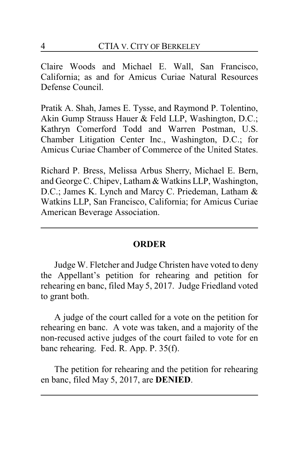Claire Woods and Michael E. Wall, San Francisco, California; as and for Amicus Curiae Natural Resources Defense Council.

Pratik A. Shah, James E. Tysse, and Raymond P. Tolentino, Akin Gump Strauss Hauer & Feld LLP, Washington, D.C.; Kathryn Comerford Todd and Warren Postman, U.S. Chamber Litigation Center Inc., Washington, D.C.; for Amicus Curiae Chamber of Commerce of the United States.

Richard P. Bress, Melissa Arbus Sherry, Michael E. Bern, and George C. Chipev, Latham & Watkins LLP, Washington, D.C.; James K. Lynch and Marcy C. Priedeman, Latham & Watkins LLP, San Francisco, California; for Amicus Curiae American Beverage Association.

#### **ORDER**

Judge W. Fletcher and Judge Christen have voted to deny the Appellant's petition for rehearing and petition for rehearing en banc, filed May 5, 2017. Judge Friedland voted to grant both.

A judge of the court called for a vote on the petition for rehearing en banc. A vote was taken, and a majority of the non-recused active judges of the court failed to vote for en banc rehearing. Fed. R. App. P. 35(f).

The petition for rehearing and the petition for rehearing en banc, filed May 5, 2017, are **DENIED**.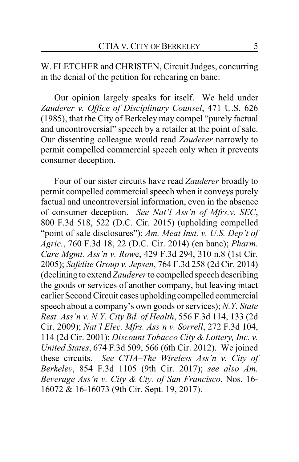W. FLETCHER and CHRISTEN, Circuit Judges, concurring in the denial of the petition for rehearing en banc:

Our opinion largely speaks for itself. We held under *Zauderer v. Office of Disciplinary Counsel*, 471 U.S. 626 (1985), that the City of Berkeley may compel "purely factual and uncontroversial" speech by a retailer at the point of sale. Our dissenting colleague would read *Zauderer* narrowly to permit compelled commercial speech only when it prevents consumer deception.

Four of our sister circuits have read *Zauderer* broadly to permit compelled commercial speech when it conveys purely factual and uncontroversial information, even in the absence of consumer deception. *See Nat'l Ass'n of Mfrs.v. SEC*, 800 F.3d 518, 522 (D.C. Cir. 2015) (upholding compelled "point of sale disclosures"); *Am. Meat Inst. v. U.S. Dep't of Agric.*, 760 F.3d 18, 22 (D.C. Cir. 2014) (en banc); *Pharm. Care Mgmt. Ass'n v. Row*e, 429 F.3d 294, 310 n.8 (1st Cir. 2005); *Safelite Group v. Jepsen*, 764 F.3d 258 (2d Cir. 2014) (declining to extend *Zauderer* to compelled speech describing the goods or services of another company, but leaving intact earlier Second Circuit cases upholding compelled commercial speech about a company's own goods or services); *N.Y. State Rest. Ass'n v. N.Y. City Bd. of Health*, 556 F.3d 114, 133 (2d Cir. 2009); *Nat'l Elec. Mfrs. Ass'n v. Sorrell*, 272 F.3d 104, 114 (2d Cir. 2001); *Discount Tobacco City & Lottery, Inc. v. United States*, 674 F.3d 509, 566 (6th Cir. 2012). We joined these circuits. *See CTIA–The Wireless Ass'n v. City of Berkeley*, 854 F.3d 1105 (9th Cir. 2017); *see also Am. Beverage Ass'n v. City & Cty. of San Francisco*, Nos. 16- 16072 & 16-16073 (9th Cir. Sept. 19, 2017).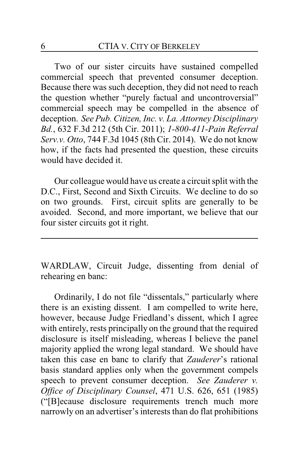Two of our sister circuits have sustained compelled commercial speech that prevented consumer deception. Because there was such deception, they did not need to reach the question whether "purely factual and uncontroversial" commercial speech may be compelled in the absence of deception. *See Pub. Citizen, Inc. v. La. Attorney Disciplinary Bd.*, 632 F.3d 212 (5th Cir. 2011); *1-800-411-Pain Referral Serv.v. Otto*, 744 F.3d 1045 (8th Cir. 2014). We do not know how, if the facts had presented the question, these circuits would have decided it.

Our colleague would have us create a circuit split with the D.C., First, Second and Sixth Circuits. We decline to do so on two grounds. First, circuit splits are generally to be avoided. Second, and more important, we believe that our four sister circuits got it right.

WARDLAW, Circuit Judge, dissenting from denial of rehearing en banc:

Ordinarily, I do not file "dissentals," particularly where there is an existing dissent. I am compelled to write here, however, because Judge Friedland's dissent, which I agree with entirely, rests principally on the ground that the required disclosure is itself misleading, whereas I believe the panel majority applied the wrong legal standard. We should have taken this case en banc to clarify that *Zauderer*'s rational basis standard applies only when the government compels speech to prevent consumer deception. *See Zauderer v. Office of Disciplinary Counsel*, 471 U.S. 626, 651 (1985) ("[B]ecause disclosure requirements trench much more narrowly on an advertiser's interests than do flat prohibitions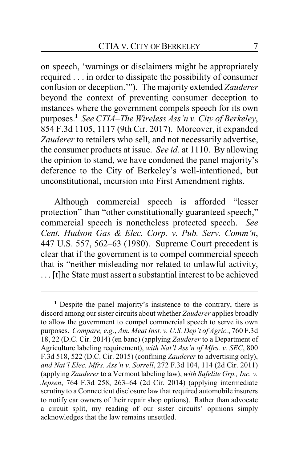on speech, 'warnings or disclaimers might be appropriately required . . . in order to dissipate the possibility of consumer confusion or deception.'"). The majority extended *Zauderer* beyond the context of preventing consumer deception to instances where the government compels speech for its own purposes.**<sup>1</sup>** *See CTIA–The Wireless Ass'n v. City of Berkeley*, 854 F.3d 1105, 1117 (9th Cir. 2017). Moreover, it expanded *Zauderer* to retailers who sell, and not necessarily advertise, the consumer products at issue. *See id.* at 1110. By allowing the opinion to stand, we have condoned the panel majority's deference to the City of Berkeley's well-intentioned, but unconstitutional, incursion into First Amendment rights.

Although commercial speech is afforded "lesser protection" than "other constitutionally guaranteed speech," commercial speech is nonetheless protected speech. *See Cent. Hudson Gas & Elec. Corp. v. Pub. Serv. Comm'n*, 447 U.S. 557, 562–63 (1980). Supreme Court precedent is clear that if the government is to compel commercial speech that is "neither misleading nor related to unlawful activity, . . . [t]he State must assert a substantial interest to be achieved

**<sup>1</sup>** Despite the panel majority's insistence to the contrary, there is discord among our sister circuits about whether *Zauderer* applies broadly to allow the government to compel commercial speech to serve its own purposes. *Compare, e.g.*, *Am. Meat Inst. v. U.S. Dep't of Agric.*, 760 F.3d 18, 22 (D.C. Cir. 2014) (en banc) (applying *Zauderer* to a Department of Agriculture labeling requirement), *with Nat'l Ass'n of Mfrs. v. SEC*, 800 F.3d 518, 522 (D.C. Cir. 2015) (confining *Zauderer* to advertising only), *and Nat'l Elec. Mfrs. Ass'n v. Sorrell*, 272 F.3d 104, 114 (2d Cir. 2011) (applying *Zauderer* to a Vermont labeling law), *with Safelite Grp., Inc. v. Jepsen*, 764 F.3d 258, 263–64 (2d Cir. 2014) (applying intermediate scrutiny to a Connecticut disclosure law that required automobile insurers to notify car owners of their repair shop options). Rather than advocate a circuit split, my reading of our sister circuits' opinions simply acknowledges that the law remains unsettled.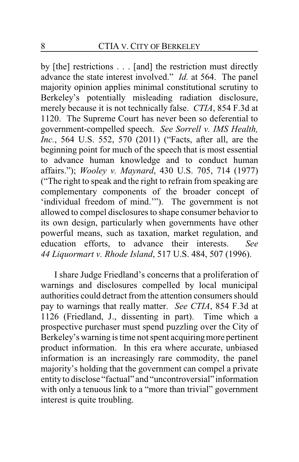by [the] restrictions . . . [and] the restriction must directly advance the state interest involved." *Id.* at 564. The panel majority opinion applies minimal constitutional scrutiny to Berkeley's potentially misleading radiation disclosure, merely because it is not technically false. *CTIA*, 854 F.3d at 1120. The Supreme Court has never been so deferential to government-compelled speech. *See Sorrell v. IMS Health, Inc.*, 564 U.S. 552, 570 (2011) ("Facts, after all, are the beginning point for much of the speech that is most essential to advance human knowledge and to conduct human affairs."); *Wooley v. Maynard*, 430 U.S. 705, 714 (1977) ("The right to speak and the right to refrain from speaking are complementary components of the broader concept of 'individual freedom of mind.'"). The government is not allowed to compel disclosures to shape consumer behavior to its own design, particularly when governments have other powerful means, such as taxation, market regulation, and education efforts, to advance their interests. *See 44 Liquormart v. Rhode Island*, 517 U.S. 484, 507 (1996).

I share Judge Friedland's concerns that a proliferation of warnings and disclosures compelled by local municipal authorities could detract from the attention consumers should pay to warnings that really matter. *See CTIA*, 854 F.3d at 1126 (Friedland, J., dissenting in part). Time which a prospective purchaser must spend puzzling over the City of Berkeley's warning is time not spent acquiring more pertinent product information. In this era where accurate, unbiased information is an increasingly rare commodity, the panel majority's holding that the government can compel a private entityto disclose "factual" and "uncontroversial" information with only a tenuous link to a "more than trivial" government interest is quite troubling.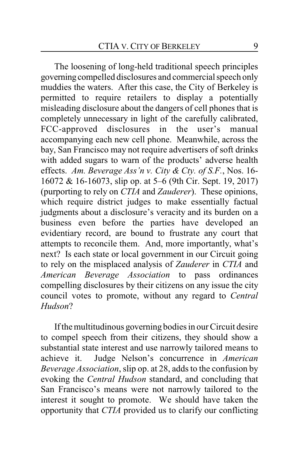The loosening of long-held traditional speech principles governing compelled disclosures and commercial speech only muddies the waters. After this case, the City of Berkeley is permitted to require retailers to display a potentially misleading disclosure about the dangers of cell phones that is completely unnecessary in light of the carefully calibrated, FCC-approved disclosures in the user's manual accompanying each new cell phone. Meanwhile, across the bay, San Francisco may not require advertisers of soft drinks with added sugars to warn of the products' adverse health effects. *Am. Beverage Ass'n v. City & Cty. of S.F.*, Nos. 16- 16072 & 16-16073, slip op. at 5–6 (9th Cir. Sept. 19, 2017) (purporting to rely on *CTIA* and *Zauderer*). These opinions, which require district judges to make essentially factual judgments about a disclosure's veracity and its burden on a business even before the parties have developed an evidentiary record, are bound to frustrate any court that attempts to reconcile them. And, more importantly, what's next? Is each state or local government in our Circuit going to rely on the misplaced analysis of *Zauderer* in *CTIA* and *American Beverage Association* to pass ordinances compelling disclosures by their citizens on any issue the city council votes to promote, without any regard to *Central Hudson*?

If the multitudinous governing bodies in our Circuit desire to compel speech from their citizens, they should show a substantial state interest and use narrowly tailored means to achieve it. Judge Nelson's concurrence in *American Beverage Association*, slip op. at 28, adds to the confusion by evoking the *Central Hudson* standard, and concluding that San Francisco's means were not narrowly tailored to the interest it sought to promote. We should have taken the opportunity that *CTIA* provided us to clarify our conflicting